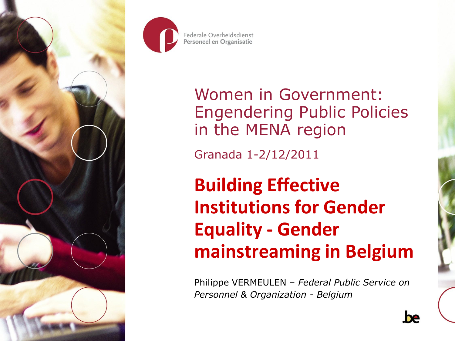



Women in Government: Engendering Public Policies in the MENA region

Granada 1-2/12/2011

**Building Effective Institutions for Gender Equality - Gender mainstreaming in Belgium**

Philippe VERMEULEN – *Federal Public Service on Personnel & Organization - Belgium*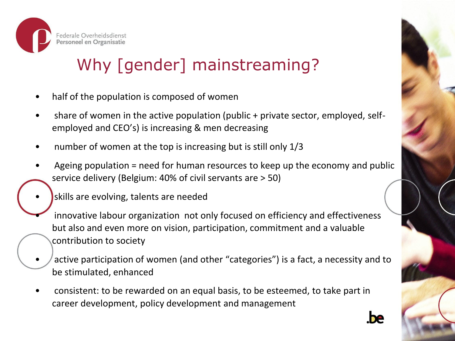

# Why [gender] mainstreaming?

- half of the population is composed of women
- share of women in the active population (public + private sector, employed, selfemployed and CEO's) is increasing & men decreasing
- number of women at the top is increasing but is still only 1/3
- Ageing population = need for human resources to keep up the economy and public service delivery (Belgium: 40% of civil servants are > 50)
	- skills are evolving, talents are needed
		- innovative labour organization not only focused on efficiency and effectiveness but also and even more on vision, participation, commitment and a valuable contribution to society
- active participation of women (and other "categories") is a fact, a necessity and to be stimulated, enhanced
- consistent: to be rewarded on an equal basis, to be esteemed, to take part in career development, policy development and management

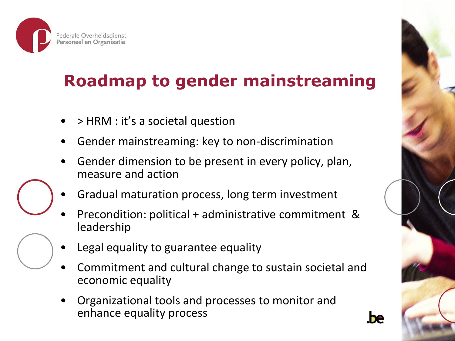

# **Roadmap to gender mainstreaming**

- > HRM : it's a societal question
- Gender mainstreaming: key to non-discrimination
- Gender dimension to be present in every policy, plan, measure and action
- Gradual maturation process, long term investment
- Precondition: political + administrative commitment & leadership
- Legal equality to guarantee equality
- Commitment and cultural change to sustain societal and economic equality
- Organizational tools and processes to monitor and enhance equality process

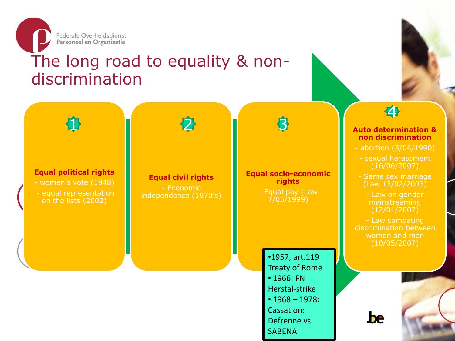

### The long road to equality & nondiscrimination

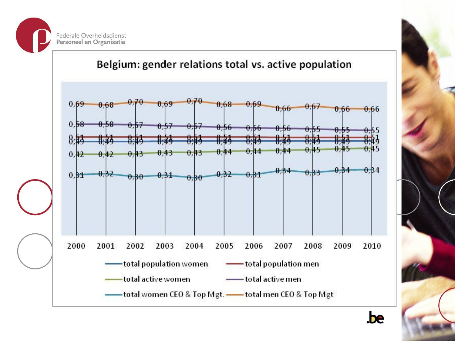



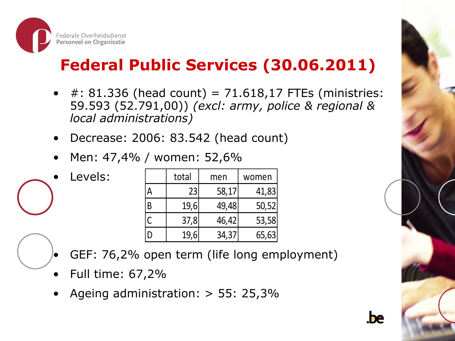

# **Federal Public Services (30.06.2011)**

- $\#$ : 81.336 (head count) = 71.618,17 FTEs (ministries: 59.593 (52.791,00)) *(excl: army, police & regional & local administrations)*
- Decrease: 2006: 83.542 (head count)
- Men: 47,4% / women: 52,6%

total men women A | 23 | 58,17 |41,83 B | 19,6 49,48 50,52  $C \begin{bmatrix} 37,8 & 46,42 & 53,58 \end{bmatrix}$ 19,6 34,37 65,63

- - GEF: 76,2% open term (life long employment)
	- Full time: 67,2%

Levels:

• Ageing administration: > 55: 25,3%

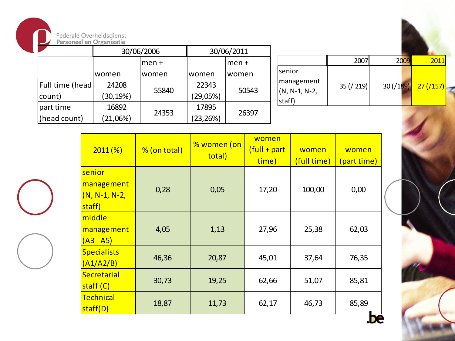

|                        | 30/06/2006 |        | 30/06/2011 |        |                           |             |                           |                           |
|------------------------|------------|--------|------------|--------|---------------------------|-------------|---------------------------|---------------------------|
|                        |            | lmen + |            | lmen + |                           | 2007        | 2009                      | 2011                      |
|                        | Iwomen     | Iwomen | women      | women  | Isenior                   |             |                           |                           |
| <b>Full time (head</b> | 24208      |        | 22343      |        | management                | 35 ( / 219) | $30 \left( / 189 \right)$ | $27 \left( / 157 \right)$ |
| count)                 | (30, 19%)  | 55840  | (29,05%)   | 50543  | $(N, N-1, N-2,$<br>staff) |             |                           |                           |
| part time              | 16892      |        | 17895      |        |                           |             |                           |                           |
| (head count)           | (21,06%)   | 24353  | (23, 26%)  | 26397  |                           |             |                           |                           |

| 2011(%)                                           | % (on total) | % women (on<br>total) | women<br>(full + part<br>time) | women<br>(full time) | women<br>(part time) |  |
|---------------------------------------------------|--------------|-----------------------|--------------------------------|----------------------|----------------------|--|
| senior<br>management<br>$(N, N-1, N-2)$<br>staff) | 0,28         | 0,05                  | 17,20                          | 100,00               | 0,00                 |  |
| middle<br>management<br><u>(A3 - A5)</u>          | 4,05         | 1,13                  | 27,96                          | 25,38                | 62,03                |  |
| <b>Specialists</b><br>(A1/A2/B)                   | 46,36        | 20,87                 | 45,01                          | 37,64                | 76,35                |  |
| <b>Secretarial</b><br>staff (C)                   | 30,73        | 19,25                 | 62,66                          | 51,07                | 85,81                |  |
| Technical<br>18,87<br>staff(D)                    |              | 11,73                 | 62,17                          | 46,73                | 85,89                |  |